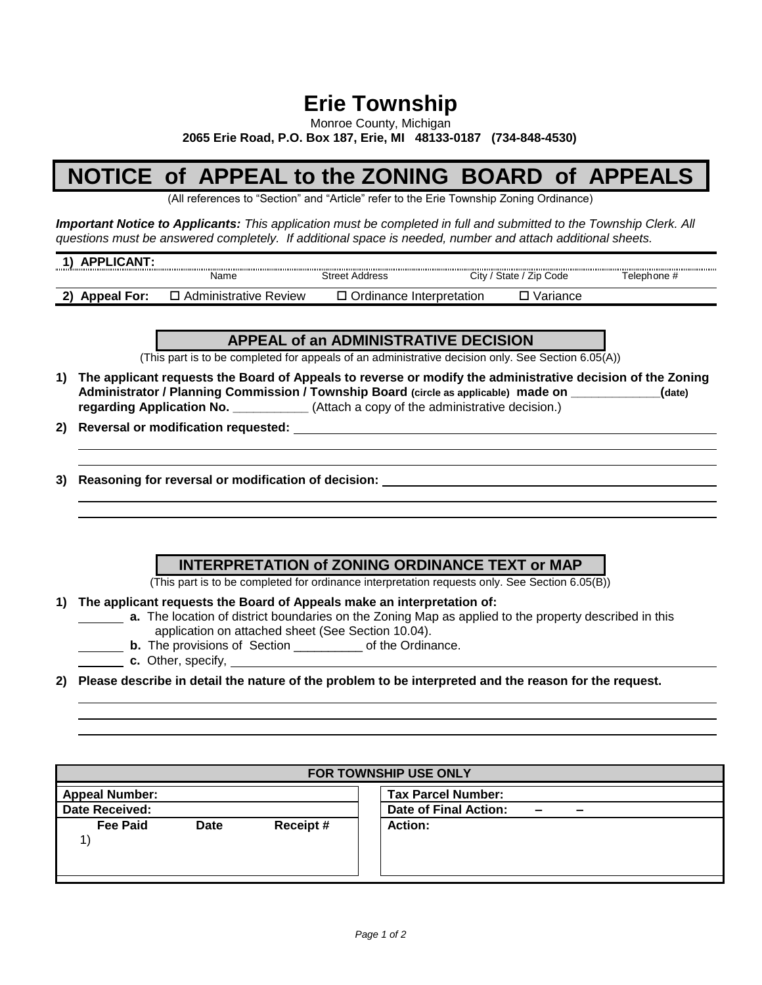## **Erie Township**

Monroe County, Michigan

**2065 Erie Road, P.O. Box 187, Erie, MI 48133-0187 (734-848-4530)**

## **NOTICE of APPEAL to the ZONING BOARD of APPEALS**

(All references to "Section" and "Article" refer to the Erie Township Zoning Ordinance)

*Important Notice to Applicants: This application must be completed in full and submitted to the Township Clerk. All questions must be answered completely. If additional space is needed, number and attach additional sheets.*

| <b>APPLICANT</b><br> |                              |                          |        |                    |             |
|----------------------|------------------------------|--------------------------|--------|--------------------|-------------|
|                      | Name                         | <b>Street Address</b>    | ، Citv | ' State / Zip Code | Telephone # |
| <b>Appeal For:</b>   | <b>Administrative Review</b> | Ordinance Interpretation |        | Variance           |             |

## **APPEAL of an ADMINISTRATIVE DECISION**

(This part is to be completed for appeals of an administrative decision only. See Section 6.05(A))

- **1) The applicant requests the Board of Appeals to reverse or modify the administrative decision of the Zoning Administrator / Planning Commission / Township Board (circle as applicable) made on \_\_\_\_\_\_\_\_\_\_\_\_\_(date) regarding Application No.** \_\_\_\_\_\_\_\_\_\_\_\_\_\_(Attach a copy of the administrative decision.)
- **2) Reversal or modification requested:**
- **3) Reasoning for reversal or modification of decision:**

**INTERPRETATION of ZONING ORDINANCE TEXT or MAP**

(This part is to be completed for ordinance interpretation requests only. See Section 6.05(B))

**1) The applicant requests the Board of Appeals make an interpretation of:**

- **a.** The location of district boundaries on the Zoning Map as applied to the property described in this application on attached sheet (See Section 10.04).
	- **b.** The provisions of Section **b.** The provisions of Section
- **c.** Other, specify,
- **2) Please describe in detail the nature of the problem to be interpreted and the reason for the request.**

| FOR TOWNSHIP USE ONLY |             |          |                                                                               |  |  |
|-----------------------|-------------|----------|-------------------------------------------------------------------------------|--|--|
| <b>Appeal Number:</b> |             |          | <b>Tax Parcel Number:</b>                                                     |  |  |
| <b>Date Received:</b> |             |          | Date of Final Action:<br>$\overline{\phantom{0}}$<br>$\overline{\phantom{a}}$ |  |  |
| <b>Fee Paid</b>       | <b>Date</b> | Receipt# | <b>Action:</b>                                                                |  |  |